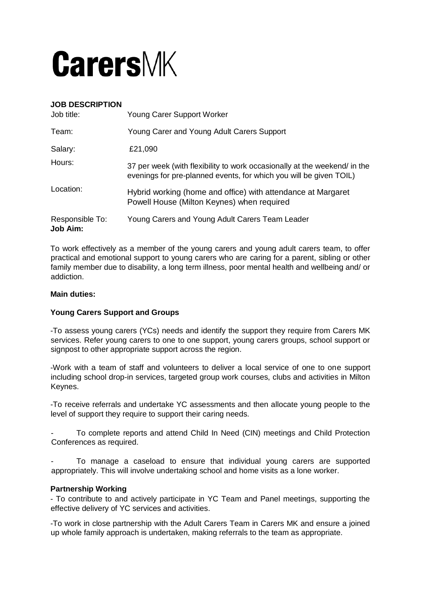

## **JOB DESCRIPTION**

| Job title:                         | Young Carer Support Worker                                                                                                                      |
|------------------------------------|-------------------------------------------------------------------------------------------------------------------------------------------------|
| Team:                              | Young Carer and Young Adult Carers Support                                                                                                      |
| Salary:                            | £21,090                                                                                                                                         |
| Hours:                             | 37 per week (with flexibility to work occasionally at the weekend/ in the<br>evenings for pre-planned events, for which you will be given TOIL) |
| Location:                          | Hybrid working (home and office) with attendance at Margaret<br>Powell House (Milton Keynes) when required                                      |
| Responsible To:<br><b>Job Aim:</b> | Young Carers and Young Adult Carers Team Leader                                                                                                 |

To work effectively as a member of the young carers and young adult carers team, to offer practical and emotional support to young carers who are caring for a parent, sibling or other family member due to disability, a long term illness, poor mental health and wellbeing and/ or addiction.

#### **Main duties:**

### **Young Carers Support and Groups**

-To assess young carers (YCs) needs and identify the support they require from Carers MK services. Refer young carers to one to one support, young carers groups, school support or signpost to other appropriate support across the region.

-Work with a team of staff and volunteers to deliver a local service of one to one support including school drop-in services, targeted group work courses, clubs and activities in Milton Keynes.

-To receive referrals and undertake YC assessments and then allocate young people to the level of support they require to support their caring needs.

To complete reports and attend Child In Need (CIN) meetings and Child Protection Conferences as required.

To manage a caseload to ensure that individual young carers are supported appropriately. This will involve undertaking school and home visits as a lone worker.

### **Partnership Working**

- To contribute to and actively participate in YC Team and Panel meetings, supporting the effective delivery of YC services and activities.

-To work in close partnership with the Adult Carers Team in Carers MK and ensure a joined up whole family approach is undertaken, making referrals to the team as appropriate.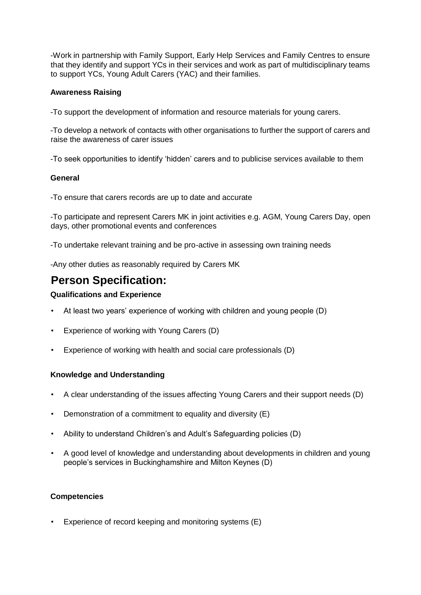-Work in partnership with Family Support, Early Help Services and Family Centres to ensure that they identify and support YCs in their services and work as part of multidisciplinary teams to support YCs, Young Adult Carers (YAC) and their families.

## **Awareness Raising**

-To support the development of information and resource materials for young carers.

-To develop a network of contacts with other organisations to further the support of carers and raise the awareness of carer issues

-To seek opportunities to identify 'hidden' carers and to publicise services available to them

## **General**

-To ensure that carers records are up to date and accurate

-To participate and represent Carers MK in joint activities e.g. AGM, Young Carers Day, open days, other promotional events and conferences

-To undertake relevant training and be pro-active in assessing own training needs

-Any other duties as reasonably required by Carers MK

# **Person Specification:**

## **Qualifications and Experience**

- At least two years' experience of working with children and young people (D)
- Experience of working with Young Carers (D)
- Experience of working with health and social care professionals (D)

### **Knowledge and Understanding**

- A clear understanding of the issues affecting Young Carers and their support needs (D)
- Demonstration of a commitment to equality and diversity (E)
- Ability to understand Children's and Adult's Safeguarding policies (D)
- A good level of knowledge and understanding about developments in children and young people's services in Buckinghamshire and Milton Keynes (D)

### **Competencies**

Experience of record keeping and monitoring systems (E)